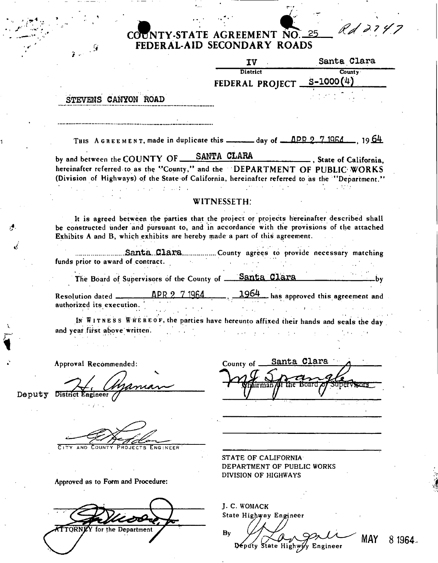## **(J^NTY-STAT E AGREEMEN T N O 25** 25 Rd 2147 **>AR Y ROAD S C FEDERAL-AID SECONDARY ROADS**

| $\mathbf{g}_{\mathrm{eff}}$ , $\mathbf{g}$                                                                                                                                                                                      | FEDERAL-AID SECONDARY ROADS                                                                                                              |                                                          |
|---------------------------------------------------------------------------------------------------------------------------------------------------------------------------------------------------------------------------------|------------------------------------------------------------------------------------------------------------------------------------------|----------------------------------------------------------|
|                                                                                                                                                                                                                                 | IV                                                                                                                                       | Santa Clara                                              |
|                                                                                                                                                                                                                                 | <b>District</b>                                                                                                                          | $\overline{\text{Country}}$<br>FEDERAL PROJECT S-1000(4) |
| STEVENS CANYON ROAD                                                                                                                                                                                                             |                                                                                                                                          |                                                          |
|                                                                                                                                                                                                                                 | THIS A GREEMENT, made in duplicate this $\frac{1}{2}$ day of $\frac{1}{2}$ $\frac{1064}{7}$ , 1964                                       |                                                          |
| by and between the COUNTY OF ___ SANTA CLARA<br>hereinafter referred to as the "County," and the "DEPARTMENT OF PUBLIC WORKS<br>(Division of Highways) of the State of California, hereinafter referred to as the "Department." |                                                                                                                                          |                                                          |
| $\mathcal{L}^{\mathcal{L}}$ and $\mathcal{L}^{\mathcal{L}}$ are the point of the field of the field $\mathcal{L}^{\mathcal{L}}$                                                                                                 | WITNESSETH:                                                                                                                              | $\sim 30\%$                                              |
| be constructed under and pursuant to, and in accordance with the provisions of the attached<br>Exhibits A and B, which exhibits are hereby made a part of this agreement.                                                       | It is agreed between the parties that the project or projects hereinafter described shall                                                |                                                          |
|                                                                                                                                                                                                                                 | SantaClaraCounty agrees to provide necessary matching                                                                                    |                                                          |
| funds prior to award of contract.                                                                                                                                                                                               |                                                                                                                                          |                                                          |
|                                                                                                                                                                                                                                 | The Board of Supervisors of the County of Santa Clara                                                                                    |                                                          |
| Resolution dated $\overline{APR}$ 2 7 1964 $\overline{1964}$ has approved this agreement and authorized its execution<br>authorized its execution.                                                                              |                                                                                                                                          |                                                          |
|                                                                                                                                                                                                                                 | $\mathcal{F}_{\mathcal{A}}(x_{1},\ldots,x_{n})$ .<br>IN WITNESS WHEREOF, the parties have hereunto affixed their hands and seals the day |                                                          |
| and year first above written.                                                                                                                                                                                                   |                                                                                                                                          |                                                          |
| Approval Recommended:                                                                                                                                                                                                           | County of .                                                                                                                              | Santa Clara                                              |
| District                                                                                                                                                                                                                        |                                                                                                                                          |                                                          |
|                                                                                                                                                                                                                                 |                                                                                                                                          |                                                          |
|                                                                                                                                                                                                                                 |                                                                                                                                          |                                                          |
| Approved as to Form and Procedure:                                                                                                                                                                                              | STATE OF CALIFORNIA<br>DEPARTMENT OF PUBLIC WORKS<br>DIVISION OF HIGHWAYS                                                                |                                                          |
|                                                                                                                                                                                                                                 |                                                                                                                                          |                                                          |
|                                                                                                                                                                                                                                 | J. C. WOMACK<br>State Highway Engineer                                                                                                   |                                                          |

**MAY** 

8 1964.

 $\mathbf{B}$ y Deputy State Highway Engineer

Deputy  $\sim$   $\sim$ 

*i-*

ď

Y for the Department **TORN**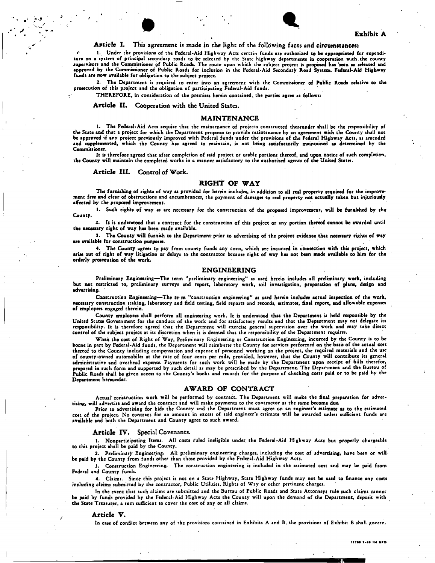## Exhibit A

## Article I. This agreement is made in the light of the following facts and circumstances:

1. Under the provisions of the Federal-Aid Highway Acts certain funds are authorized to be appropriated for expenditure on a system of principal secondary roads to be selected by the State highway departments in cooperation with the county supervisors and the Commissioner of Public Roads. The route upon which the subject project is proposed has been so selected and Approved by the Commissioner of Public Roads for inclusion in the Federal-Aid Secondary Road System. Federal-Aid Highway funds are now available for obligation to the subject project.

 $\bullet$ 

2. The Department is required to enter into an agreement with the Commissioner of Public Roads relative to the prosecution of this project and the obligation of participating Federal-Aid funds.

THEREFORE, in consideration of the premises herein contained, the parties agree as follows:

Article II. Cooperation with the United States.

### MAINTENANCE

1. The Federal-Aid Acts require that the maintenance of projects constructed thereunder shall be the responsibility of the State and that a project for which the Department proposes to provide maintenance by an agreement with the County shall not<br>be approved if any project previously improved with Federal funds under the provisions of the and supplemented, which the County has agreed to maintain, is not being satisfactorily maintained as determined by the Commissioner.

It is therefore agreed that after completion of said project or usable portions thereof, and upon notice of such completion,<br>the County will maintain the completed works in a manner satisfactory to the authorized agents of

Article III. Control of Work.

## RIGHT OF WAY

The furnishing of rights of way as provided for herein includes, in addition to all real property required for the improvement free and clear of obstructions and encumbrances, the payment of damages to real property not actually taken but injuriously *affected by* the proposed improvement.

**1. Such** rights of **way as are necessary for the construction of the proposed improvement, will** be furnished by the County.

2. It is understood that a contract for the construction of this project or any portion thereof cannot be awarded until the necessary right of way has been made available.

3. The County will furnish to the Department prior to advertising of the project evidence that necessary rights of way are available for construction purposes.

**4.** The County agrees to pay from county funds any costs, which are incurred in connection with this project, which arise out of right of way litigation or delays to the contractor because right of way has not been made available to him for the orderly prosecution of the work.

#### ENGINEERING

Preliminary Engineering—The term "preliminary engineering" as used herein includes all preliminary work, including<br>but not testricted to, preliminary surveys and report, laboratory work, soil investigation, preparation of advertising.

Construction Engineering—The te m "construction engineering" as used herein includes actual inspection of the work,<br>necessary construction staking, laboratory and field testing, field reports and records, estimates, final of employees engaged therein.

County employees shall perform all engineering work. It is understood that the Department is held responsible by the United States Government for the conduct of the work and for satisfactory results and tha t the Department may not delegate its responsibility. It is therefore agreed that the Department will exercise general supervision over the work and may take direct control of the subject project at its discretion when it is deemed that the responsibility of the Department requires.

When the cost of Right of Way, Preliminary Engineering or Construction Engineering, incurred by the County is to be borne in part by Federal-Aid funds, the Department will reimburse the County for services performed on the basis of the actual cost thereof to the County including compensation and expense of personnel working on the project, the required materials and the use of county-owned automobiles at the rate of four cents per mile, provided, however, that the County will contribute its general administrative and overhead expense. Payments for such work will be made by the Department upon receipt of bills therefor, prepared in such form and supported by such detail as may be prescribed by the Department. The Department and the Bureau of<br>Public Roads shall be given access to the County's books and records for the purpose of checking c Department hereunder.

### AWARD OF CONTRACT

Actual construction work will be performed by contract. The Department will make the final preparation for advertising, will advertise and award the contract and will make payments to the contractor as the same become due.

Prior to advertising for bids the County and the Department must agree on an engineer's estimate as to the estimated cost of the project. No contract for an amount in excess of said engineer's estimate will be awarded unless sufficient funds are available and both the Department and County agree to such award.

#### Article IV. Special Covenants.

1. Nonparticipating Items. All costs ruled ineligible under the Federal-Aid Highway Acts but properly chargeable to this project shall be paid by the County.

2. Preliminary Engineering. All preliminary engineering charges, including the cost of advertising, have been or will be paid by the County from funds other than those provided by the Federal-Aid Highway Acts.

}. Construction Engineering. The construction engineering is included in the estimated cost and may be paid from Federal and County funds.

*4.* Claims. Since this project is not on a State Highway, State Highway funds may not be used to finance any costs including claims submitted by the contractor, Public Utilities, Rights of Way or other pertinent charges.

In the event that such claims are submitted and the Bureau of Public Roads and State Attorneys rule such claims cannot be paid by funds provided by the Federal-Aid Highway Acts the County will upon the demand of the Department, deposit with the State Treasurer, a sum sufficient to cover the cost of any or all claims.

#### Article V.

In case of conflict between any of the provisions contained in Exhibits A and B, the provisions of Exhibit B shall govern.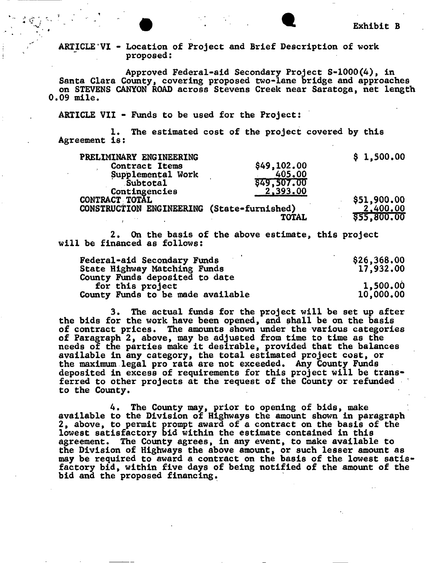# **ARTICLE VI - Location of Project and Brief Description of work proposed:**

**Approved Federal-aid Secondary Project S-1000(4), in Santa Clara County, covering proposed two-lane bridge and approaches on STEVENS CANYON ROAD across Stevens Creek near Saratoga, net length 0.09 mile.** 

**ARTICLE VII - Funds to be used for the Project:** 

**1. The estimated cost of the project covered by this Agreement is:** 

| PRELIMINARY ENGINEERING                    |              | \$1,500.00  |
|--------------------------------------------|--------------|-------------|
| Contract Items                             | \$49,102.00  |             |
| Supplemental Work                          | 405.00       |             |
| Subtotal                                   | \$49,507.00  |             |
| Contingencies                              | 2,393.00     |             |
| CONTRACT TOTAL                             |              | \$51,900.00 |
| CONSTRUCTION ENGINEERING (State-furnished) |              | 2,400.00    |
|                                            | <b>TOTAL</b> | \$55,800.00 |

**2. On the basis of the above estimate, this project will be financed as follows:** 

| Federal-aid Secondary Funds       | \$26,368,00 |
|-----------------------------------|-------------|
| State Highway Matching Funds      | 17,932.00   |
| County Funds deposited to date    |             |
| for this project                  | 1,500.00    |
| County Funds to be made available | 10,000.00   |

**3. The actual funds for the project will be set up after the bids for the work have been opened, and shall be on the basis of contract prices. The amounts shown under the various categories of Paragraph 2, above, may be adjusted from time to time as the needs of the parties make it desirable, provided that the balances available in any category, the total estimated project cost, or the maximum legal pro rata are not exceeded. Any County Funds deposited in excess of requirements for this project will be transferred to other projects at the request of the County or refunded to the County.** 

**4. The County may, prior to opening of bids, make available to the Division of Highways the amount shown in paragraph 2, above, to permit prompt award of a contract on the basis of the lowest satisfactory bid within the estimate contained in this agreement. The County agrees, in any event, to make available to the Division of Highways the above amount, or such lesser amount as may be required to award a contract on the basis of the lowest satisfactory bid, within five days of being notified of the amount of the bid and the proposed financing.**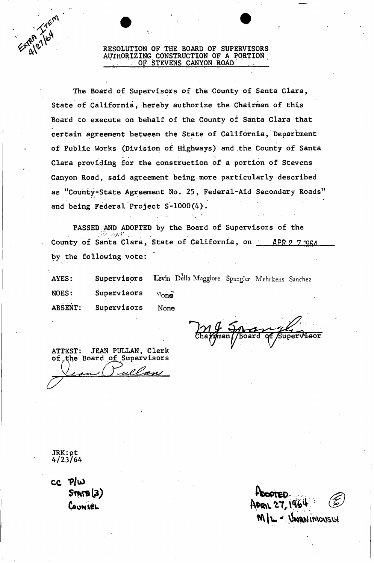## **AV^ RESOLUTION OF THE BOARD OF SUPERVISORS \* AUTHORIZING CONSTRUCTION OF A PORTION . O F STEVENS CANYON ROAD**

**The Board of Supervisors of the County of Santa Clara, State of California, hereby authorize the Chairman of this Board to execute on behalf of the County of Santa Clara that certain agreement between the State of California, Department of Public Works (Division of Highways) and the County of Santa Clara providing for the construction of a portion of Stevens Canyon Road, said agreement being more particularly described as "County-State Agreement No. 25, Federal-Aid Secondary Roads' and being Federal Project S-1000(4).** 

**PASSED AND ADOPTED by the Board of Supervisors of the**  County of Santa Clara, State of California, on **APR 9 7 1964 by the following vote:** 

AYES: Supervisors Levin Della Maggiore Spangler Mehrkens Sanchez **NOES:** Supervisors  $\nu$ one<sup> $\overline{\phantom{a}}$ </sup> **ABSENT: Supervisors None** 

**ATTEST: JEAN PULLAN, Clerk of ^h e Board of^Supervisors** 

**JRK:pt 4/23/64** 

**c c "P/uJ**   $S$ TATE $(3)$ **CouHieu** 

ML- UNANIMOUSLY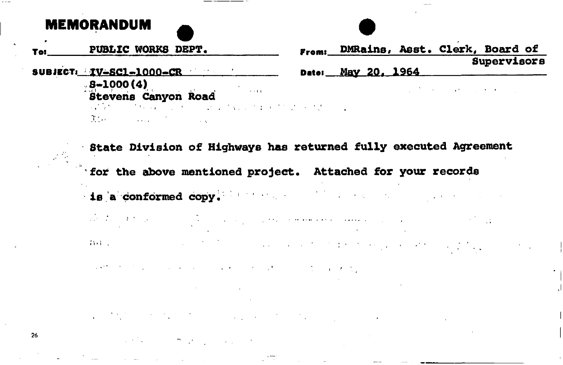# **MEMORANDUM**

26

- **PUBLIC WORKS DEPT.**
- SUBJECT: IV-SC1-1000-CR **Date: May 20, 1964** 
	-
	- 8-1000**(4)**<br>B<del>r</del>ainne Ce
	-
	- The common community and the control of the con-

 **DMRalns, Asst. Clerk, Board of Supervisors** 

the contract of the contract of the contract of the contract of

- **Stevens Canyon Road**
- **State Division o£ Highways has returned fully executed Agreement for the above mentioned project. Attached for your records**
- **is a conformed copy. ' 1**
- $\label{eq:2.1} \left\langle \left( \mathbf{1}_{\mathcal{A}} \right) \mathbf{1}_{\mathcal{A}} \right\rangle = \left\langle \left( \mathbf{1}_{\mathcal{A}} \right) \mathbf{1}_{\mathcal{A}} \right\rangle = \left\langle \left( \mathbf{1}_{\mathcal{A}} \right) \mathbf{1}_{\mathcal{A}} \right\rangle = \left\langle \left( \mathbf{1}_{\mathcal{A}} \right) \mathbf{1}_{\mathcal{A}} \right\rangle$  $\mathcal{L}^{\text{max}}_{\text{max}}$  and  $\mathcal{L}^{\text{max}}_{\text{max}}$  $\mathcal{A}=\mathcal{A}(\mathcal{A})$  . والإنسان والمتعقف المعقلة فعلوه والمتعادين وقعاريات  $43.4 - 1.7$  $\mathcal{I}_\text{G}$  , and the same state of the state of the state of the state of the state of the state of the state of the state of the state of the state of the state of the state of the state of the state of the state of t
- 
- and the first product and a series of the control of the control of the product
- 
- 
- $\mathcal{L}(\mathcal{F})$  and  $\mathcal{L}(\mathcal{F})$  . The contribution of the contribution of  $\mathcal{F}$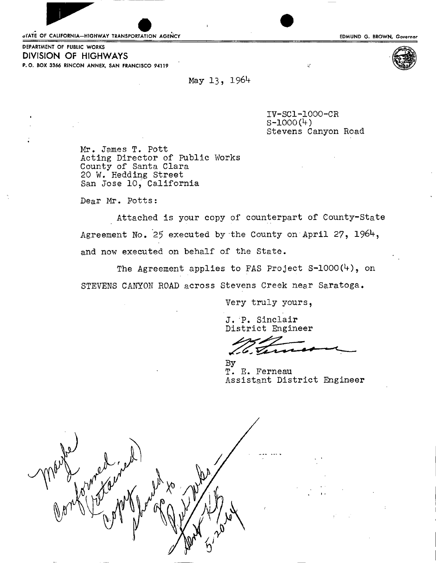oTATE OF CALIFORNIA-HIGHWAY TRANSPORTATION AGENCY **And the CALIFORNIA CONSTRUCTS** EDMUND G. BROWN, Governor



DEPARTMENT OF PUBLIC WORKS **DIVISION OF HIGHWAYS**  P.O. BOX 3366 RINCON ANNEX, SAN FRANCISCO 94119

May 13, 1964

**IV-SC1-1000-CR s-1000(4) Stevens Canyon Road** 

à.

**M r. James T. Pott Acting Director of Public Works County of Santa Clara 20 W. Hedding Street San Jose 10, California** 

**Dear Mr. Potts:** 

**Attached is your copy of counterpart of County-State Agreement No. 25 executed by "the County on April 27, and now executed on behalf of the State.** 

The Agreement applies to FAS Project S-1000(4), on **STEVENS CANYON ROAD across Stevens Creek near Saratoga.** 

**Very truly yours,** 

**J. P. Sinclair District Engineer** 

**By T. E. Ferneau Assistant District Engineer** 

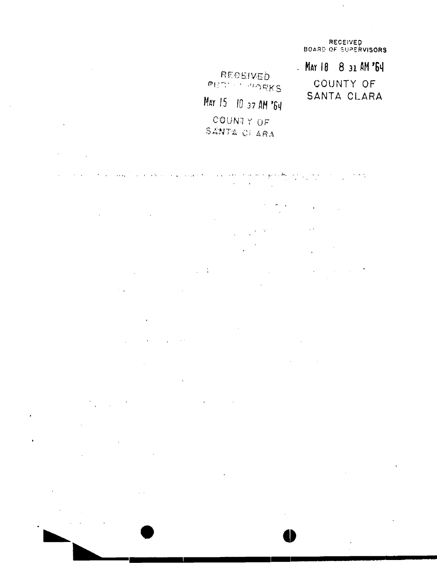**RECEIVE D BOARD OF SUPERVISORS** 

 $\sim$ 

 $\hat{\mathbf{r}}$ 

 $\hat{\boldsymbol{\epsilon}}$ 

**MAT 18 8 31 AH '6 1 !**  COUNTY OF SANTA CLARA

**EE CEIVED** *Har* 15 10 37 AM '64 *C'QU'Nl Y OF*  SANTA CI ARA

ا المطلق والمتع الجامعة والمتحدة المتحدة المتحدة الجامعة المتحدة المتحدة المتحدة المتحدة المتحدة المتحدة المتح<br>المتحدة المتحدة  $\sigma_{\rm{max}}=1.1\,\sigma_{\rm{max}}$ 

 $\sim 10$ the control of the control of the control of  $\mathcal{L}_{\text{eff}}$  $\sim$   $^{\circ}$ 

 $\mathcal{L}_{\rm{max}}$  and  $\mathcal{L}_{\rm{max}}$  $\mathcal{L}_{\text{max}}$  and  $\mathcal{L}_{\text{max}}$  are the set of the set of  $\mathcal{L}_{\text{max}}$  $\mathcal{L}^{\text{max}}$  and  $\mathcal{L}^{\text{max}}$  $\sim 10^{-10}$  $\mathcal{L}^{\mathcal{L}}$ 

 $\mathcal{A}(\mathbf{z})$  and  $\mathcal{A}(\mathbf{z})$  are  $\mathcal{A}(\mathbf{z})$  .  $\sim$   $\sim$ 

 $\sim$   $\alpha$  $\mathcal{L}^{\text{max}}_{\text{max}}$  ,  $\mathcal{L}^{\text{max}}_{\text{max}}$  $\mathcal{A}^{\text{max}}_{\text{max}}$  and  $\mathcal{A}^{\text{max}}_{\text{max}}$  $\sim 100$  $\hat{\mathcal{A}}$ 

the control of the control of the  $\sim 10^{11}$  m  $^{-1}$  $\mathcal{L}^{\text{max}}_{\text{max}}$  and  $\mathcal{L}^{\text{max}}_{\text{max}}$ 

 $\mathcal{L}_{\text{max}} = \mathcal{L}_{\text{max}}$  . The  $\mathcal{L}_{\text{max}}$  $\mathcal{L}^{\text{max}}_{\text{max}}$  , where  $\mathcal{L}^{\text{max}}_{\text{max}}$ 

 $\mathcal{L}^{\text{max}}_{\text{max}}$  ,  $\mathcal{L}^{\text{max}}_{\text{max}}$  $\mathcal{L}^{\text{max}}_{\text{max}}$  and  $\mathcal{L}^{\text{max}}_{\text{max}}$  $\sim 10$  $\mathcal{L}^{\text{max}}_{\text{max}}$  $\sim 10^{-10}$ 

 $\hat{\mathbf{r}}$  $\sim$   $\sim$ 

**o** 

 $\bar{\phantom{a}}$ 

 $\mathbf{v}^{\prime}$ 

 $\mathcal{L}^{\text{max}}_{\text{max}}$  ,  $\mathcal{L}^{\text{max}}_{\text{max}}$ 

 $\mathcal{L}(\mathcal{A})$  and  $\mathcal{L}(\mathcal{A})$  .

 $\sigma_{\rm{max}}=0.01$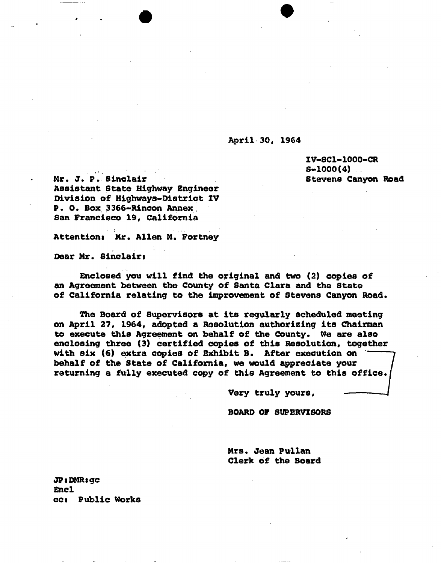# **April 30, 1964**

**XV-SC1-1000-CR S-1000(4) Stevens Canyon Road** 

**Mr. J» P. Sinclair Assistant State Highway Engineer Division of Highways-District XV P. 0. Box 3366-Rincon Annex San Francisco 19, California** 

**Attentions Mr. Allen M. Fortney** 

**Dear Mr. Sinclairs** 

**Enclosed you will find the original and two (2) copies of an Agreement between the County of Santa Clara and the State of California relating to the improvement of Stevens Canyon Road.** 

**The Board of Supervisors at its regularly scheduled meeting on April 27, 1964, adopted a Resolution authorising its Chairman to execute this Agreement on behalf of the County. We are also enclosing three (3) certified copies of this Resolution, together with six (6) extra copies of Exhibit B. After execution on behalf of the State of California, we would appreciate your returning a fully executed copy of this Agreement to this office.** 

**Very truly yours,** 

**BOARD OF SUPERVISORS** 

**Mrs. Jean Pullan Clerk of the Board** 

**JPiDMRsgc Encl cci Public Works**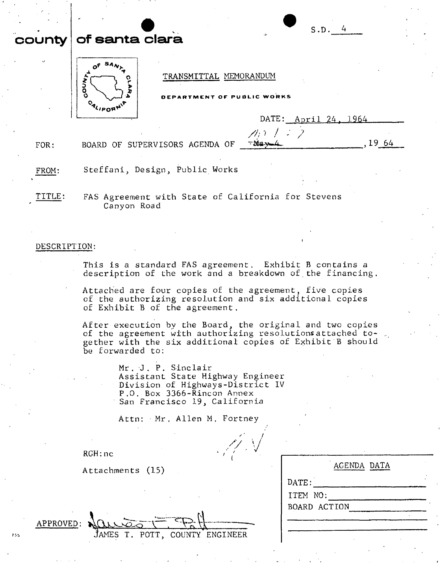# **county of sarita claret**



# **TRANSMITTAL MEMORANDUM**

|  |  |  | DEPARTMENT OF PUBLIC WORKS |  |
|--|--|--|----------------------------|--|

**//'/> / - 7** 

|  | DATE: April 24, 1964 |  |  |
|--|----------------------|--|--|
|--|----------------------|--|--|

**S.D . 4** 

**FOR:**  BOARD OF SUPERVISORS AGENDA OF  $\overline{\phantom{a}}$   $\overline{\phantom{a}}$   $\overline{\phantom{a}}$   $\overline{\phantom{a}}$   $\overline{\phantom{a}}$   $\overline{\phantom{a}}$   $\overline{\phantom{a}}$   $\overline{\phantom{a}}$   $\overline{\phantom{a}}$   $\overline{\phantom{a}}$   $\overline{\phantom{a}}$   $\overline{\phantom{a}}$   $\overline{\phantom{a}}$   $\overline{\phantom{a}}$   $\overline{\phantom{a}}$   $\overline{\phantom{a}}$ 

**FROM: Steffani, Design, Public Works** 

**TITLE: FAS Agreement with State of California for Stevens Canyon Road** 

# **DESCRIPTION:**

**This is a standard FAS agreement. Exhibit B contains a description of the work and a breakdown of the financing.** 

**Attached are four copies of the agreement, five copies of the authorizing resolution and six additional copies of Exhibit B of the agreement.** 

**After execution by the Board, the original and two copies of the agreement with authorizing resolutionsattached together with the six additional copies of Exhibit B should be forwarded to:** 

> **Mr . -J . P . Sinclair Assistant State Highway Engineer Division of Highways-District IV P.O. Box 3366-Rincon Annex San Francisco 19, California**

**Attn: Mr . Allen M . Fortney** 

/ / **V** 

**RGH:nc** 

**Attachments (15)** 

| AGENDA DATA  |
|--------------|
| DATE:        |
| ITEM NO:     |
| BOARD ACTION |
|              |
|              |

 $APPROVED$ :

755

**JAMES T. POTT, COUNTY ENGINEER**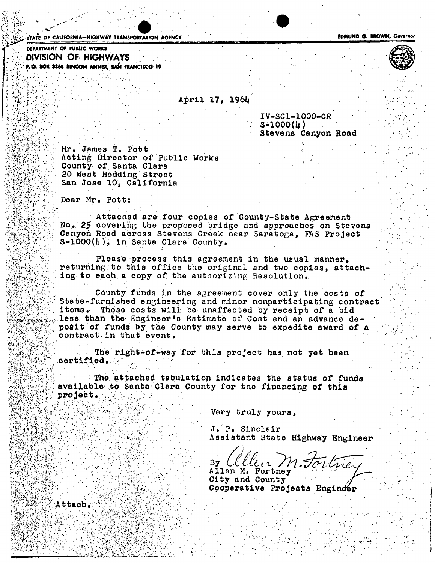**if ATE OF CALIFORNIA—HIGHWAY TRANSPORTATION AGENCY And CONTAINSTIGATION CONTAINSTIGATION CONTAINSTIGATION** 

**DEPARTMENT OF PUBLIC WORKS** *CENTRALISER OF PUBLIC WORKS* **DIVISION OF HIGHWAYS P.O. BOX 3366 RINCON ANNEX, SAN FRANCISCO 19** 

*<sup>&</sup>gt;* >  $\sim$  . • i . ' *>•* •/ **V,** ^ :.r 1  *'• i-'* 

**P** *HZ*  j v.**<sup>v</sup>**

... *A--'\*'..-' '* .

**Sx'Crt- / ^**

 **;**

**V;V/V**ti**^V\* ' / • » " \***

**v**

**/.tlrV V»:** 

**April** *17,* 196I <sup>4</sup>

**IV-SC1-1000-CR S-lOOO(tj) Stevens Canyon Road** 

 **/** 

**Mr. James,T. Pott**  Acting Director of Public Works **County of Santa Clara 20 West Hedding Street San Jose 10, California •A' rv:>'. ••••'' '** 

**Dear : Mr.. Pott:** 

Attached are four copies of County-State Agreement **Attached are four copies of County-State Agreement No . 25 covering the proposed bridge and approaches on Stevens Canyon Road across Stevens Creek near Saratoga, PA3 Project / S-l000(i|), in Santa Clara County.** 

**Please process this agreement in the usual manner, returning:to. this office the original end two copies, attach- - ing td eaoh. a copy of the authorizing Resolution..** 

**County funds in the agreement cover only the costs of State-furnished engineering and minor nonparticipating contract v items. These costs will be unaffected by receipt of a bid less, than the Engineer's Estimate of Cost and an advance depodit of funds by the County may serve to expedite award of a**  contract in that event.

**The right-of-way for this project has not yet been**   $\texttt{certified.}$ 

**The attached tabulation indicates the status of funds**  available to Santa Clara County for the financing of this project.

 **Very truly yours,** 

J. P. Sinclair **. - - • / J.'P. Sinclair Assistant State Highway Engineer** 

 $By \; LLLLL$ ,  $/$ باديمياس

Allen M. Fortney<br>City and County **Cooperative Proj Cooperative Projects Engin<** 

Attach.

 **1 v**

ተረ**ት** (የሌል ነገር)

*<r 1* ". ' **') n c** 



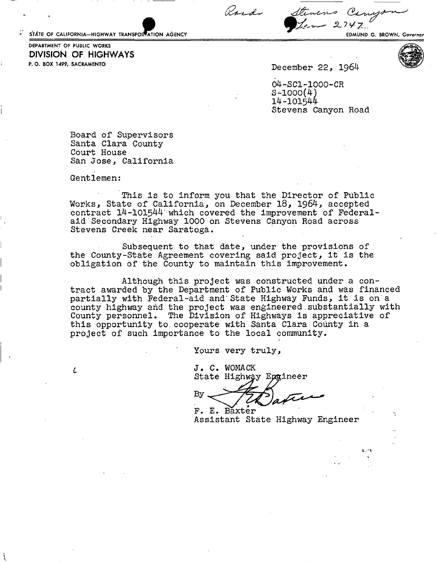STATE OF CALIFORNIA-HIGHWAY TRANSPORTATION AGENCY **And a state of the CALIFORNIA** G. BROWN, Governor

Rosdo Stevens Carrys  $2747$ 

P.O. BOX 1499, SACRAMENTO DEPARTMENT OF PUBLIC WORKS **DIVISION OF HIGHWAYS** 

**December 22, 1964** 

**04-SC1-1000-CR 5-1000(4) 14-101544 Stevens Canyon Road** 

**Board of Supervisors Santa Clara County Court House San Jose, California** 

**Gentlemen:** 

*i* 

**This is to inform you that the Director of Public Works, State of California, on December 18, 1964, accepted contract 14-101544 which covered the improvement of Federalaid Secondary Highway 1000 on Stevens Canyon Road across Stevens Creek near Saratoga.** 

**Subsequent to that date, under the provisions of the County-State Agreement covering said project, it is the obligation of the County to maintain this improvement.** 

**Although this project was constructed under a contract awarded by the Department of Public Works and was financed partially with Federal-aid and'State Highway Funds, it is on"a county highway and the project was engineered substantially with County personnel. The Division of Highways is appreciative of this opportunity to,cooperate with Santa Clara County in a project of such importance to the local community.** 

**Yours very truly,** 

**J . C. WOMACK**  State Highway Epgineer

Bv **F. E. Baxter** 

**Assistant State Highway Engineer** 

t. A